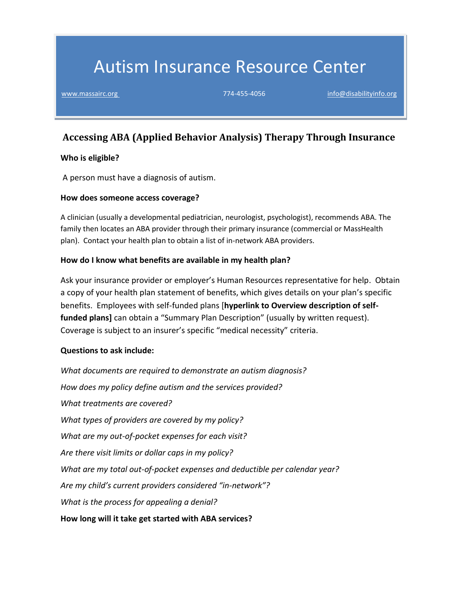# Autism Insurance Resource Center

[www.massairc.org](https://massairc.org/) 774-455-4056 [info@disabilityinfo.org](mailto:info@disabilityinfo.org)

# **Accessing ABA (Applied Behavior Analysis) Therapy Through Insurance**

#### **Who is eligible?**

A person must have a diagnosis of autism.

#### **How does someone access coverage?**

A clinician (usually a developmental pediatrician, neurologist, psychologist), recommends ABA. The family then locates an ABA provider through their primary insurance (commercial or MassHealth plan). Contact your health plan to obtain a list of in-network ABA providers.

### **How do I know what benefits are available in my health plan?**

Ask your insurance provider or employer's Human Resources representative for help. Obtain a copy of your health plan statement of benefits, which gives details on your plan's specific benefits. Employees with self-funded plans [**hyperlink to Overview description of selffunded plans]** can obtain a "Summary Plan Description" (usually by written request). Coverage is subject to an insurer's specific "medical necessity" criteria.

### **Questions to ask include:**

*What documents are required to demonstrate an autism diagnosis? How does my policy define autism and the services provided? What treatments are covered? What types of providers are covered by my policy? What are my out-of-pocket expenses for each visit? Are there visit limits or dollar caps in my policy? What are my total out-of-pocket expenses and deductible per calendar year? Are my child's current providers considered "in-network"? What is the process for appealing a denial?* **How long will it take get started with ABA services?**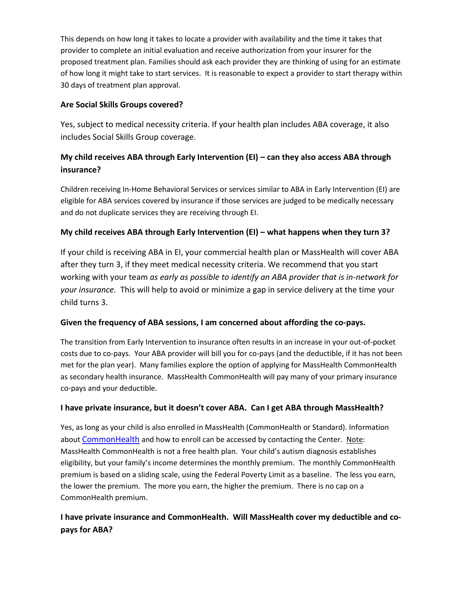This depends on how long it takes to locate a provider with availability and the time it takes that provider to complete an initial evaluation and receive authorization from your insurer for the proposed treatment plan. Families should ask each provider they are thinking of using for an estimate of how long it might take to start services. It is reasonable to expect a provider to start therapy within 30 days of treatment plan approval.

## **Are Social Skills Groups covered?**

Yes, subject to medical necessity criteria. If your health plan includes ABA coverage, it also includes Social Skills Group coverage.

# **My child receives ABA through Early Intervention (EI) – can they also access ABA through insurance?**

Children receiving In-Home Behavioral Services or services similar to ABA in Early Intervention (EI) are eligible for ABA services covered by insurance if those services are judged to be medically necessary and do not duplicate services they are receiving through EI.

# **My child receives ABA through Early Intervention (EI) – what happens when they turn 3?**

If your child is receiving ABA in EI, your commercial health plan or MassHealth will cover ABA after they turn 3, if they meet medical necessity criteria. We recommend that you start working with your team *as early as possible to identify an ABA provider that is in-network for your insurance.* This will help to avoid or minimize a gap in service delivery at the time your child turns 3.

# **Given the frequency of ABA sessions, I am concerned about affording the co-pays.**

The transition from Early Intervention to insurance often results in an increase in your out-of-pocket costs due to co-pays. Your ABA provider will bill you for co-pays (and the deductible, if it has not been met for the plan year). Many families explore the option of applying for MassHealth CommonHealth as secondary health insurance. MassHealth CommonHealth will pay many of your primary insurance co-pays and your deductible.

# **I have private insurance, but it doesn't cover ABA. Can I get ABA through MassHealth?**

Yes, as long as your child is also enrolled in MassHealth (CommonHealth or Standard). Information about [CommonHealth](https://s3.amazonaws.com/disability-info/AIRC/pdf/MassHealth-CommonHealth-10-23-18-Accessible-2.pdf) and how to enroll can be accessed by contacting the Center. Note: MassHealth CommonHealth is not a free health plan. Your child's autism diagnosis establishes eligibility, but your family's income determines the monthly premium. The monthly CommonHealth premium is based on a sliding scale, using the Federal Poverty Limit as a baseline. The less you earn, the lower the premium. The more you earn, the higher the premium. There is no cap on a CommonHealth premium.

# **I have private insurance and CommonHealth. Will MassHealth cover my deductible and copays for ABA?**